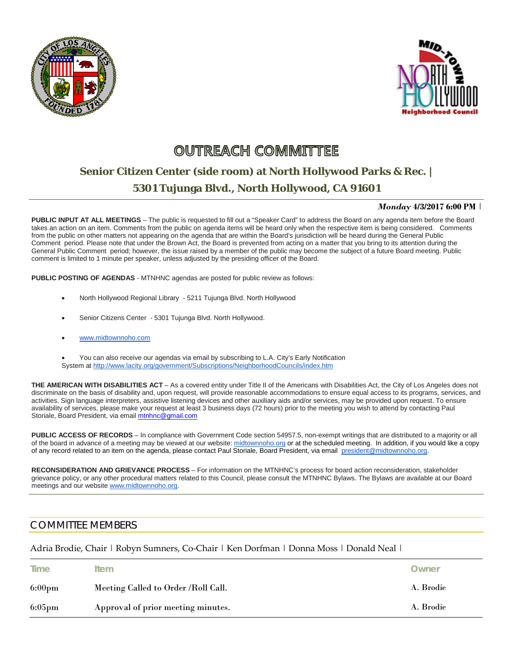



## **OUTREACH COMMITTEE**

## **Senior Citizen Center (side room) at North Hollywood Parks & Rec. | 5301 Tujunga Blvd., North Hollywood, CA 91601**

## *Monday* **4/3/2017 6:00 PM** |

**PUBLIC INPUT AT ALL MEETINGS** – The public is requested to fill out a "Speaker Card" to address the Board on any agenda item before the Board takes an action on an item. Comments from the public on agenda items will be heard only when the respective item is being considered. Comments from the public on other matters not appearing on the agenda that are within the Board's jurisdiction will be heard during the General Public Comment period. Please note that under the Brown Act, the Board is prevented from acting on a matter that you bring to its attention during the General Public Comment period; however, the issue raised by a member of the public may become the subject of a future Board meeting. Public comment is limited to 1 minute per speaker, unless adjusted by the presiding officer of the Board.

**PUBLIC POSTING OF AGENDAS** - MTNHNC agendas are posted for public review as follows:

- North Hollywood Regional Library 5211 Tujunga Blvd. North Hollywood
- Senior Citizens Center 5301 Tujunga Blvd. North Hollywood.
- www.midtownnoho.com
- You can also receive our agendas via email by subscribing to L.A. City's Early Notification System at <http://www.lacity.org/government/Subscriptions/NeighborhoodCouncils/index.htm>

**THE AMERICAN WITH DISABILITIES ACT** – As a covered entity under Title II of the Americans with Disabilities Act, the City of Los Angeles does not discriminate on the basis of disability and, upon request, will provide reasonable accommodations to ensure equal access to its programs, services, and activities. Sign language interpreters, assistive listening devices and other auxiliary aids and/or services, may be provided upon request. To ensure availability of services, please make your request at least 3 business days (72 hours) prior to the meeting you wish to attend by contacting Paul Storiale, Board President, via emai[l mtnhnc@gmail.com](mailto:mtnhnc@gmail.com)

PUBLIC ACCESS OF RECORDS – In compliance with Government Code section 54957.5, non-exempt writings that are distributed to a majority or all of the board in advance of a meeting may be viewed at our website: [midtownnoho.org](http://midtownnoho.org/) or at the scheduled meeting. In addition, if you would like a copy of any record related to an item on the agenda, please contact Paul Storiale, Board President, via email [president@midtownnoho.org.](mailto:president@midtownnoho.org)

**RECONSIDERATION AND GRIEVANCE PROCESS** – For information on the MTNHNC's process for board action reconsideration, stakeholder grievance policy, or any other procedural matters related to this Council, please consult the MTNHNC Bylaws. The Bylaws are available at our Board meetings and our website [www.midtownnoho.org.](http://www.midtownnoho.org/)

## COMMITTEE MEMBERS

Adria Brodie, Chair | Robyn Sumners, Co-Chair | Ken Dorfman | Donna Moss | Donald Neal |

| <b>Time</b>      | <b>Item</b>                          | Owner     |
|------------------|--------------------------------------|-----------|
| $6:00 \text{pm}$ | Meeting Called to Order / Roll Call. | A. Brodie |
| $6:05 \text{pm}$ | Approval of prior meeting minutes.   | A. Brodie |